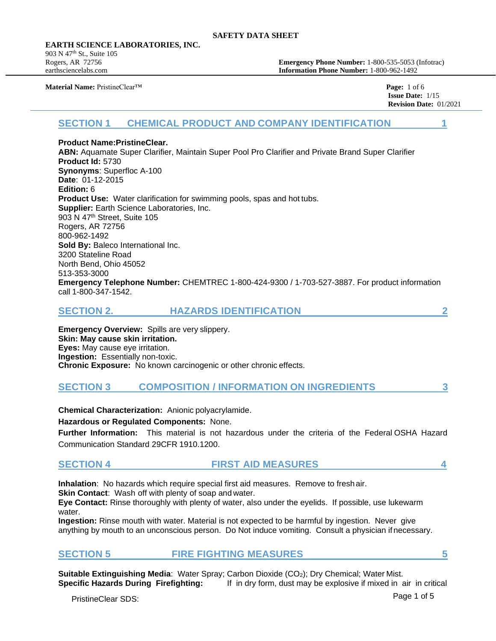#### **EARTH SCIENCE LABORATORIES, INC.**

903 N 47<sup>th</sup> St., Suite 105

Rogers, AR 72756 **Emergency Phone Number:** 1-800-535-5053 (Infotrac) earthsciencelabs.com **Information Phone Number:** 1-800-962-1492

**Material Name:** PristineClear™ **Page:** 1 of 6

 **Issue Date:** 1/15 **Revision Date:** 01/2021

# **SECTION 1 CHEMICAL PRODUCT AND COMPANY IDENTIFICATION 1**

#### **Product Name:PristineClear.**

**ABN:** Aquamate Super Clarifier, Maintain Super Pool Pro Clarifier and Private Brand Super Clarifier **Product Id:** 5730 **Synonyms**: Superfloc A-100 **Date**: 01-12-2015 **Edition:** 6 **Product Use:** Water clarification for swimming pools, spas and hot tubs. **Supplier:** Earth Science Laboratories, Inc. 903 N 47th Street, Suite 105 Rogers, AR 72756 800-962-1492 **Sold By: Baleco International Inc.** 3200 Stateline Road North Bend, Ohio 45052 513-353-3000 **Emergency Telephone Number:** CHEMTREC 1-800-424-9300 / 1-703-527-3887. For product information call 1-800-347-1542.

| <b>HAZARDS IDENTIFICATION</b><br><b>SECTION 2.</b> |  |
|----------------------------------------------------|--|
|----------------------------------------------------|--|

**Emergency Overview:** Spills are very slippery. **Skin: May cause skin irritation. Eyes:** May cause eye irritation. **Ingestion:** Essentially non-toxic. **Chronic Exposure:** No known carcinogenic or other chronic effects.

# **SECTION 3 COMPOSITION / INFORMATION ON INGREDIENTS 3**

**Chemical Characterization:** Anionic polyacrylamide.

**Hazardous or Regulated Components:** None.

**Further Information:** This material is not hazardous under the criteria of the Federal OSHA Hazard Communication Standard 29CFR 1910.1200.

# **SECTION 4 FIRST AID MEASURES 4**

**Inhalation**: No hazards which require special first aid measures. Remove to fresh air. **Skin Contact:** Wash off with plenty of soap and water.

**Eye Contact:** Rinse thoroughly with plenty of water, also under the eyelids. If possible, use lukewarm water.

**Ingestion:** Rinse mouth with water. Material is not expected to be harmful by ingestion. Never give anything by mouth to an unconscious person. Do Not induce vomiting. Consult a physician if necessary.

# **SECTION 5 FIRE FIGHTING MEASURES 5**

**Suitable Extinguishing Media**: Water Spray; Carbon Dioxide (CO2); Dry Chemical; Water Mist. **Specific Hazards During Firefighting:** If in dry form, dust may be explosive if mixed in air in critical

PristineClear SDS: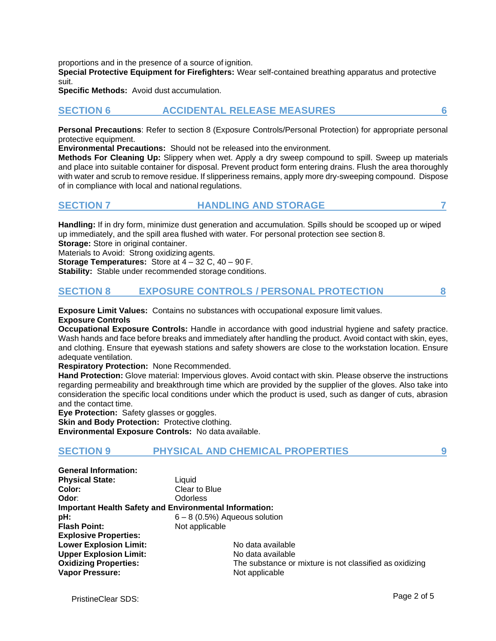proportions and in the presence of a source of ignition.

**Special Protective Equipment for Firefighters:** Wear self-contained breathing apparatus and protective suit.

**Specific Methods:** Avoid dust accumulation.

# **SECTION 6 ACCIDENTAL RELEASE MEASURES 6**

**Personal Precautions**: Refer to section 8 (Exposure Controls/Personal Protection) for appropriate personal protective equipment.

**Environmental Precautions:** Should not be released into the environment.

**Methods For Cleaning Up:** Slippery when wet. Apply a dry sweep compound to spill. Sweep up materials and place into suitable container for disposal. Prevent product form entering drains. Flush the area thoroughly with water and scrub to remove residue. If slipperiness remains, apply more dry-sweeping compound. Dispose of in compliance with local and national regulations.

## **SECTION 7 HANDLING AND STORAGE 7**

**Handling:** If in dry form, minimize dust generation and accumulation. Spills should be scooped up or wiped up immediately, and the spill area flushed with water. For personal protection see section 8.

**Storage:** Store in original container.

Materials to Avoid: Strong oxidizing agents.

**Storage Temperatures:** Store at 4 – 32 C, 40 – 90 F.

**Stability:** Stable under recommended storage conditions.

## **SECTION 8 EXPOSURE CONTROLS / PERSONAL PROTECTION 8**

**Exposure Limit Values:** Contains no substances with occupational exposure limit values.

#### **Exposure Controls**

**Occupational Exposure Controls:** Handle in accordance with good industrial hygiene and safety practice. Wash hands and face before breaks and immediately after handling the product. Avoid contact with skin, eyes, and clothing. Ensure that eyewash stations and safety showers are close to the workstation location. Ensure adequate ventilation.

**Respiratory Protection:** None Recommended.

**Hand Protection:** Glove material: Impervious gloves. Avoid contact with skin. Please observe the instructions regarding permeability and breakthrough time which are provided by the supplier of the gloves. Also take into consideration the specific local conditions under which the product is used, such as danger of cuts, abrasion and the contact time.

**Eye Protection:** Safety glasses or goggles.

**Skin and Body Protection: Protective clothing.** 

**Environmental Exposure Controls:** No data available.

## **SECTION 9 PHYSICAL AND CHEMICAL PROPERTIES 9**

| <b>General Information:</b>                                   |                                                         |
|---------------------------------------------------------------|---------------------------------------------------------|
| <b>Physical State:</b>                                        | Liquid                                                  |
| Color:                                                        | Clear to Blue                                           |
| Odor:                                                         | <b>Odorless</b>                                         |
| <b>Important Health Safety and Environmental Information:</b> |                                                         |
| pH:                                                           | $6 - 8$ (0.5%) Aqueous solution                         |
| <b>Flash Point:</b>                                           | Not applicable                                          |
| <b>Explosive Properties:</b>                                  |                                                         |
| <b>Lower Explosion Limit:</b>                                 | No data available                                       |
| <b>Upper Explosion Limit:</b>                                 | No data available                                       |
| <b>Oxidizing Properties:</b>                                  | The substance or mixture is not classified as oxidizing |
| <b>Vapor Pressure:</b>                                        | Not applicable                                          |

PristineClear SDS: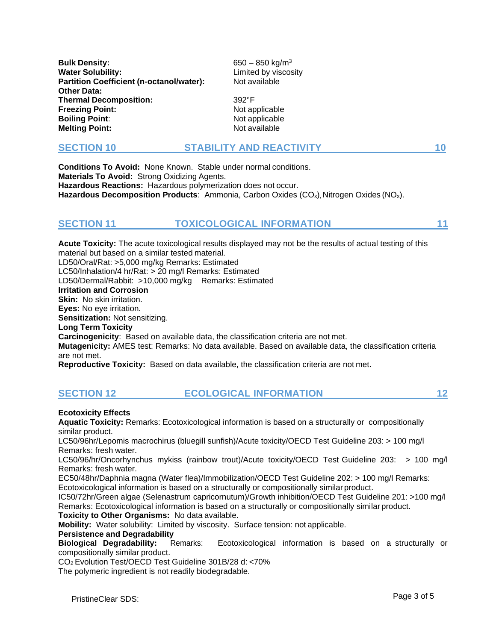**Bulk Density:** 650 – 850 kg/m<sup>3</sup> **Water Solubility: Water Solubility:** Limited by viscosity **Partition Coefficient (n-octanol/water):** Not available **Other Data: Thermal Decomposition:** 392°F **Freezing Point:** Not applicable **Boiling Point:** Not applicable **Melting Point:** Not available

## **SECTION 10 STABILITY AND REACTIVITY 10**

**Conditions To Avoid:** None Known. Stable under normal conditions. **Materials To Avoid:** Strong Oxidizing Agents. **Hazardous Reactions:** Hazardous polymerization does not occur. **Hazardous Decomposition Products**: Ammonia, Carbon Oxides (CO<sub>x</sub>), Nitrogen Oxides (NO<sub>x</sub>).

# **SECTION 11 TOXICOLOGICAL INFORMATION 11**

**Acute Toxicity:** The acute toxicological results displayed may not be the results of actual testing of this material but based on a similar tested material. LD50/Oral/Rat: >5,000 mg/kg Remarks: Estimated LC50/Inhalation/4 hr/Rat: > 20 mg/l Remarks: Estimated LD50/Dermal/Rabbit: >10,000 mg/kg Remarks: Estimated **Irritation and Corrosion Skin:** No skin irritation. **Eyes:** No eye irritation. **Sensitization:** Not sensitizing. **Long Term Toxicity Carcinogenicity**: Based on available data, the classification criteria are not met. **Mutagenicity:** AMES test: Remarks: No data available. Based on available data, the classification criteria are not met. **Reproductive Toxicity:** Based on data available, the classification criteria are not met.

# **SECTION 12 ECOLOGICAL INFORMATION 12**

#### **Ecotoxicity Effects**

**Aquatic Toxicity:** Remarks: Ecotoxicological information is based on a structurally or compositionally similar product.

LC50/96hr/Lepomis macrochirus (bluegill sunfish)/Acute toxicity/OECD Test Guideline 203: > 100 mg/l Remarks: fresh water.

LC50/96/hr/Oncorhynchus mykiss (rainbow trout)/Acute toxicity/OECD Test Guideline 203: > 100 mg/l Remarks: fresh water.

EC50/48hr/Daphnia magna (Water flea)/Immobilization/OECD Test Guideline 202: > 100 mg/l Remarks: Ecotoxicological information is based on a structurally or compositionally similar product.

IC50/72hr/Green algae (Selenastrum capricornutum)/Growth inhibition/OECD Test Guideline 201: >100 mg/l Remarks: Ecotoxicological information is based on a structurally or compositionally similar product.

**Toxicity to Other Organisms:** No data available.

**Mobility:** Water solubility: Limited by viscosity. Surface tension: not applicable.

**Persistence and Degradability**

**Biological Degradability:** Remarks: Ecotoxicological information is based on a structurally or compositionally similar product.

CO2 Evolution Test/OECD Test Guideline 301B/28 d: <70%

The polymeric ingredient is not readily biodegradable.

PristineClear SDS: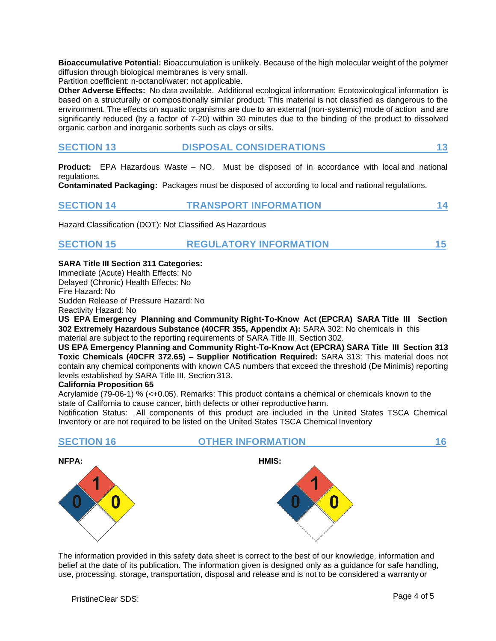**Bioaccumulative Potential:** Bioaccumulation is unlikely. Because of the high molecular weight of the polymer diffusion through biological membranes is very small.

Partition coefficient: n-octanol/water: not applicable.

**Other Adverse Effects:** No data available. Additional ecological information: Ecotoxicological information is based on a structurally or compositionally similar product. This material is not classified as dangerous to the environment. The effects on aquatic organisms are due to an external (non-systemic) mode of action and are significantly reduced (by a factor of 7-20) within 30 minutes due to the binding of the product to dissolved organic carbon and inorganic sorbents such as clays or silts.

| <b>SECTION 13</b> | <b>DISPOSAL CONSIDERATIONS</b> |  |
|-------------------|--------------------------------|--|
|-------------------|--------------------------------|--|

**Product:** EPA Hazardous Waste – NO. Must be disposed of in accordance with local and national regulations.

**Contaminated Packaging:** Packages must be disposed of according to local and national regulations.

## **SECTION 14 TRANSPORT INFORMATION 14**

Hazard Classification (DOT): Not Classified As Hazardous

## **SECTION 15 REGULATORY INFORMATION 15**

#### **SARA Title III Section 311 Categories:**

Immediate (Acute) Health Effects: No

Delayed (Chronic) Health Effects: No

Fire Hazard: No Sudden Release of Pressure Hazard: No

Reactivity Hazard: No

**US EPA Emergency Planning and Community Right-To-Know Act (EPCRA) SARA Title III Section 302 Extremely Hazardous Substance (40CFR 355, Appendix A):** SARA 302: No chemicals in this material are subject to the reporting requirements of SARA Title III, Section 302.

**US EPA Emergency Planning and Community Right-To-Know Act (EPCRA) SARA Title III Section 313 Toxic Chemicals (40CFR 372.65) – Supplier Notification Required:** SARA 313: This material does not contain any chemical components with known CAS numbers that exceed the threshold (De Minimis) reporting levels established by SARA Title III, Section 313.

#### **California Proposition 65**

Acrylamide (79-06-1) % (<+0.05). Remarks: This product contains a chemical or chemicals known to the state of California to cause cancer, birth defects or other reproductive harm.

Notification Status: All components of this product are included in the United States TSCA Chemical Inventory or are not required to be listed on the United States TSCA Chemical Inventory

| <b>SECTION 16</b> | <b>OTHER INFORMATION</b> | 16 |
|-------------------|--------------------------|----|
| NFPA:             | HMIS:                    |    |
| и                 | и                        |    |

The information provided in this safety data sheet is correct to the best of our knowledge, information and belief at the date of its publication. The information given is designed only as a guidance for safe handling, use, processing, storage, transportation, disposal and release and is not to be considered a warranty or